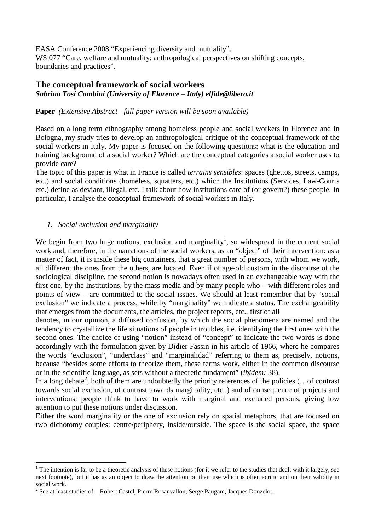EASA Conference 2008 "Experiencing diversity and mutuality". WS 077 "Care, welfare and mutuality: anthropological perspectives on shifting concepts, boundaries and practices".

# **The conceptual framework of social workers**  *Sabrina Tosi Cambini (University of Florence – Italy) elfide@libero.it*

### **Paper** *(Extensive Abstract - full paper version will be soon available)*

Based on a long term ethnography among homeless people and social workers in Florence and in Bologna, my study tries to develop an anthropological critique of the conceptual framework of the social workers in Italy. My paper is focused on the following questions: what is the education and training background of a social worker? Which are the conceptual categories a social worker uses to provide care?

The topic of this paper is what in France is called *terrains sensibles*: spaces (ghettos, streets, camps, etc.) and social conditions (homeless, squatters, etc.) which the Institutions (Services, Law-Courts etc.) define as deviant, illegal, etc. I talk about how institutions care of (or govern?) these people. In particular, I analyse the conceptual framework of social workers in Italy.

## *1. Social exclusion and marginality*

 $\overline{a}$ 

We begin from two huge notions, exclusion and marginality<sup>1</sup>, so widespread in the current social work and, therefore, in the narrations of the social workers, as an "object" of their intervention: as a matter of fact, it is inside these big containers, that a great number of persons, with whom we work, all different the ones from the others, are located. Even if of age-old custom in the discourse of the sociological discipline, the second notion is nowadays often used in an exchangeable way with the first one, by the Institutions, by the mass-media and by many people who – with different roles and points of view – are committed to the social issues. We should at least remember that by "social exclusion" we indicate a process, while by "marginality" we indicate a status. The exchangeability that emerges from the documents, the articles, the project reports, etc., first of all

denotes, in our opinion, a diffused confusion, by which the social phenomena are named and the tendency to crystallize the life situations of people in troubles, i.e. identifying the first ones with the second ones. The choice of using "notion" instead of "concept" to indicate the two words is done accordingly with the formulation given by Didier Fassin in his article of 1966, where he compares the words "exclusion", "underclass" and "marginalidad" referring to them as, precisely, notions, because "besides some efforts to theorize them, these terms work, either in the common discourse or in the scientific language, as sets without a theoretic fundament" (*ibidem:* 38).

In a long debate<sup>2</sup>, both of them are undoubtedly the priority references of the policies  $(\dots)$  contrast towards social exclusion, of contrast towards marginality, etc..) and of consequence of projects and interventions: people think to have to work with marginal and excluded persons, giving low attention to put these notions under discussion.

Either the word marginality or the one of exclusion rely on spatial metaphors, that are focused on two dichotomy couples: centre/periphery, inside/outside. The space is the social space, the space

<sup>&</sup>lt;sup>1</sup> The intention is far to be a theoretic analysis of these notions (for it we refer to the studies that dealt with it largely, see next footnote), but it has as an object to draw the attention on their use which is often acritic and on their validity in social work.

 $2^2$  See at least studies of : Robert Castel, Pierre Rosanvallon, Serge Paugam, Jacques Donzelot.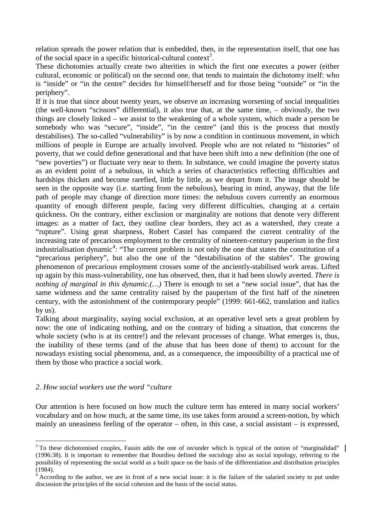relation spreads the power relation that is embedded, then, in the representation itself, that one has of the social space in a specific historical-cultural context<sup>3</sup>.

These dichotomies actually create two alterities in which the first one executes a power (either cultural, economic or political) on the second one, that tends to maintain the dichotomy itself: who is "inside" or "in the centre" decides for himself/herself and for those being "outside" or "in the periphery".

If it is true that since about twenty years, we observe an increasing worsening of social inequalities (the well-known "scissors" differential), it also true that, at the same time, – obviously, the two things are closely linked – we assist to the weakening of a whole system, which made a person be somebody who was "secure", "inside", "in the centre" (and this is the process that mostly destabilises). The so-called "vulnerability" is by now a condition in continuous movement, in which millions of people in Europe are actually involved. People who are not related to "histories" of poverty, that we could define generational and that have been shift into a new definition (the one of "new poverties") or fluctuate very near to them. In substance, we could imagine the poverty status as an evident point of a nebulous, in which a series of characteristics reflecting difficulties and hardships thicken and become rarefied, little by little, as we depart from it. The image should be seen in the opposite way (i.e. starting from the nebulous), bearing in mind, anyway, that the life path of people may change of direction more times: the nebulous covers currently an enormous quantity of enough different people, facing very different difficulties, changing at a certain quickness. On the contrary, either exclusion or marginality are notions that denote very different images: as a matter of fact, they outline clear borders, they act as a watershed, they create a "rupture". Using great sharpness, Robert Castel has compared the current centrality of the increasing rate of precarious employment to the centrality of nineteen-century pauperism in the first industrialisation dynamic<sup>4</sup>: "The current problem is not only the one that states the constitution of a "precarious periphery", but also the one of the "destabilisation of the stables". The growing phenomenon of precarious employment crosses some of the anciently-stabilised work areas. Lifted up again by this mass-vulnerability, one has observed, then, that it had been slowly averted. *There is nothing of marginal in this dynamic.(…)* There is enough to set a "new social issue", that has the same wideness and the same centrality raised by the pauperism of the first half of the nineteen century, with the astonishment of the contemporary people" (1999: 661-662, translation and italics by us).

Talking about marginality, saying social exclusion, at an operative level sets a great problem by now: the one of indicating nothing, and on the contrary of hiding a situation, that concerns the whole society (who is at its centre!) and the relevant processes of change. What emerges is, thus, the inability of these terms (and of the abuse that has been done of them) to account for the nowadays existing social phenomena, and, as a consequence, the impossibility of a practical use of them by those who practice a social work.

### *2. How social workers use the word "culture*

Our attention is here focused on how much the culture term has entered in many social workers' vocabulary and on how much, at the same time, its use takes form around a screen-notion, by which mainly an uneasiness feeling of the operator – often, in this case, a social assistant – is expressed,

 $\overline{a}$  $3$  To these dichotomised couples, Fassin adds the one of on/under which is typical of the notion of "marginalidad" (1996:38). It is important to remember that Bourdieu defined the sociology also as social topology, referring to the possibility of representing the social world as a built space on the basis of the differentiation and distribution principles (1984).

 $4$  According to the author, we are in front of a new social issue: it is the failure of the salaried society to put under discussion the principles of the social cohesion and the basis of the social status.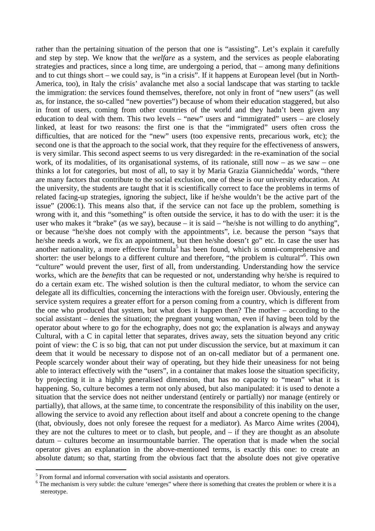rather than the pertaining situation of the person that one is "assisting". Let's explain it carefully and step by step. We know that the *welfare* as a system, and the services as people elaborating strategies and practices, since a long time, are undergoing a period, that – among many definitions and to cut things short – we could say, is "in a crisis". If it happens at European level (but in North-America, too), in Italy the crisis' avalanche met also a social landscape that was starting to tackle the immigration: the services found themselves, therefore, not only in front of "new users" (as well as, for instance, the so-called "new poverties") because of whom their education staggered, but also in front of users, coming from other countries of the world and they hadn't been given any education to deal with them. This two levels – "new" users and "immigrated" users – are closely linked, at least for two reasons: the first one is that the "immigrated" users often cross the difficulties, that are noticed for the "new" users (too expensive rents, precarious work, etc); the second one is that the approach to the social work, that they require for the effectiveness of answers, is very similar. This second aspect seems to us very disregarded: in the re-examination of the social work, of its modalities, of its organisational systems, of its rationale, still now – as we saw – one thinks a lot for categories, but most of all, to say it by Maria Grazia Giannichedda' words, "there are many factors that contribute to the social exclusion, one of these is our university education. At the university, the students are taught that it is scientifically correct to face the problems in terms of related facing-up strategies, ignoring the subject, like if he/she wouldn't be the active part of the issue" (2006:1). This means also that, if the service can not face up the problem, something is wrong with it, and this "something" is often outside the service, it has to do with the user: it is the user who makes it "brake" (as we say), because – it is said – "he/she is not willing to do anything", or because "he/she does not comply with the appointments", i.e. because the person "says that he/she needs a work, we fix an appointment, but then he/she doesn't go" etc. In case the user has another nationality, a more effective formula<sup>5</sup> has been found, which is omni-comprehensive and shorter: the user belongs to a different culture and therefore, "the problem is cultural"<sup>6</sup>. This own "culture" would prevent the user, first of all, from understanding. Understanding how the service works, which are the *benefits* that can be requested or not, understanding why he/she is required to do a certain exam etc. The wished solution is then the cultural mediator, to whom the service can delegate all its difficulties, concerning the interactions with the foreign user. Obviously, entering the service system requires a greater effort for a person coming from a country, which is different from the one who produced that system, but what does it happen then? The mother – according to the social assistant – denies the situation; the pregnant young woman, even if having been told by the operator about where to go for the echography, does not go; the explanation is always and anyway Cultural, with a C in capital letter that separates, drives away, sets the situation beyond any critic point of view: the C is so big, that can not put under discussion the service, but at maximum it can deem that it would be necessary to dispose not of an on-call mediator but of a permanent one. People scarcely wonder about their way of operating, but they hide their uneasiness for not being able to interact effectively with the "users", in a container that makes loose the situation specificity, by projecting it in a highly generalised dimension, that has no capacity to "mean" what it is happening. So, culture becomes a term not only abused, but also manipulated: it is used to denote a situation that the service does not neither understand (entirely or partially) nor manage (entirely or partially), that allows, at the same time, to concentrate the responsibility of this inability on the user, allowing the service to avoid any reflection about itself and about a concrete opening to the change (that, obviously, does not only foresee the request for a mediator). As Marco Aime writes (2004), they are not the cultures to meet or to clash, but people, and – if they are thought as an absolute datum – cultures become an insurmountable barrier. The operation that is made when the social operator gives an explanation in the above-mentioned terms, is exactly this one: to create an absolute datum; so that, starting from the obvious fact that the absolute does not give operative

<sup>&</sup>lt;sup>5</sup> From formal and informal conversation with social assistants and operators.

<sup>&</sup>lt;sup>6</sup> The mechanism is very subtle: the culture 'emerges'' where there is something that creates the problem or where it is a stereotype.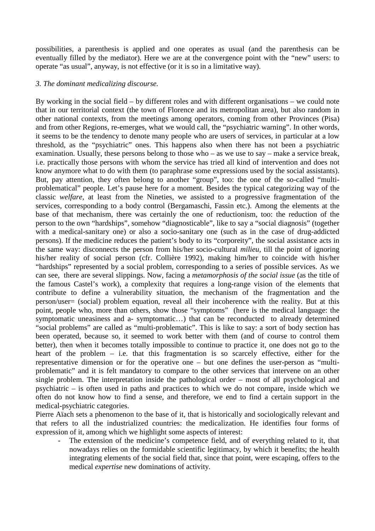possibilities, a parenthesis is applied and one operates as usual (and the parenthesis can be eventually filled by the mediator). Here we are at the convergence point with the "new" users: to operate "as usual", anyway, is not effective (or it is so in a limitative way).

#### *3. The dominant medicalizing discourse.*

By working in the social field – by different roles and with different organisations – we could note that in our territorial context (the town of Florence and its metropolitan area), but also random in other national contexts, from the meetings among operators, coming from other Provinces (Pisa) and from other Regions, re-emerges, what we would call, the "psychiatric warning". In other words, it seems to be the tendency to denote many people who are users of services, in particular at a low threshold, as the "psychiatric" ones. This happens also when there has not been a psychiatric examination. Usually, these persons belong to those who – as we use to say – make a service break, i.e. practically those persons with whom the service has tried all kind of intervention and does not know anymore what to do with them (to paraphrase some expressions used by the social assistants). But, pay attention, they often belong to another "group", too: the one of the so-called "multiproblematical" people. Let's pause here for a moment. Besides the typical categorizing way of the classic *welfare,* at least from the Nineties, we assisted to a progressive fragmentation of the services, corresponding to a body control (Bergamaschi, Fassin etc.). Among the elements at the base of that mechanism, there was certainly the one of reductionism, too: the reduction of the person to the own "hardships", somehow "diagnosticable", like to say a "social diagnosis" (together with a medical-sanitary one) or also a socio-sanitary one (such as in the case of drug-addicted persons). If the medicine reduces the patient's body to its "corporeity", the social assistance acts in the same way: disconnects the person from his/her socio-cultural *milieu,* till the point of ignoring his/her reality of social person (cfr. Collière 1992), making him/her to coincide with his/her "hardships" represented by a social problem, corresponding to a series of possible services. As we can see, there are several slippings. Now, facing a *metamorphosis of the social issue* (as the title of the famous Castel's work), a complexity that requires a long-range vision of the elements that contribute to define a vulnerability situation, the mechanism of the fragmentation and the person/user= (social) problem equation, reveal all their incoherence with the reality. But at this point, people who, more than others, show those "symptoms" (here is the medical language: the symptomatic uneasiness and a- symptomatic…) that can be reconducted to already determined "social problems" are called as "multi-problematic". This is like to say: a sort of body section has been operated, because so, it seemed to work better with them (and of course to control them better), then when it becomes totally impossible to continue to practice it, one does not go to the heart of the problem – i.e. that this fragmentation is so scarcely effective, either for the representative dimension or for the operative one – but one defines the user-person as "multiproblematic" and it is felt mandatory to compare to the other services that intervene on an other single problem. The interpretation inside the pathological order – most of all psychological and psychiatric – is often used in paths and practices to which we do not compare, inside which we often do not know how to find a sense, and therefore, we end to find a certain support in the medical-psychiatric categories.

Pierre Aïach sets a phenomenon to the base of it, that is historically and sociologically relevant and that refers to all the industrialized countries: the medicalization. He identifies four forms of expression of it, among which we highlight some aspects of interest:

The extension of the medicine's competence field, and of everything related to it, that nowadays relies on the formidable scientific legitimacy, by which it benefits; the health integrating elements of the social field that, since that point, were escaping, offers to the medical *expertise* new dominations of activity.